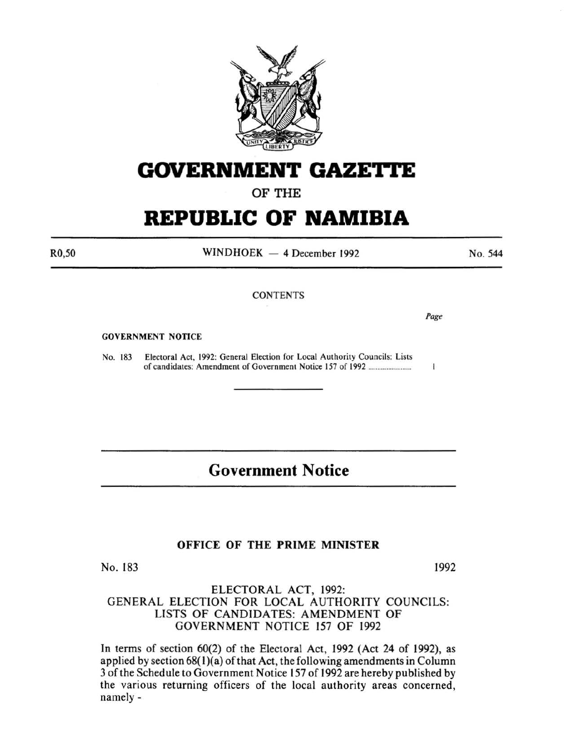

# **GOVERNMENT GAZE'ri'E**

OF THE

# **REPUBLIC OF NAMIBIA**

R0,50

 $WINDHOEK - 4 December 1992$ 

No. 544

## **CONTENTS**

Page

 $\mathbf{1}$ 

#### GOVERNMENT NOTICE

No. 183 Electoral Act, 1992: General Election for Local Authority Councils: Lists of candidates: Amendment of Government Notice 157 of 1992 ....................... .

# **Government Notice**

## OFFICE OF THE PRIME MINISTER

No. 183 1992

### ELECTORAL ACT, 1992: GENERAL ELECTION FOR LOCAL AUTHORITY COUNCILS: LISTS OF CANDIDATES: AMENDMENT OF GOVERNMENT NOTICE 157 OF 1992

In terms of section 60(2) of the Electoral Act, 1992 (Act 24 of 1992), as applied by section  $68(1)(a)$  of that Act, the following amendments in Column 3 of the Schedule to Government Notice 157 of 1992 are hereby published by the various returning officers of the local authority areas concerned, namely-